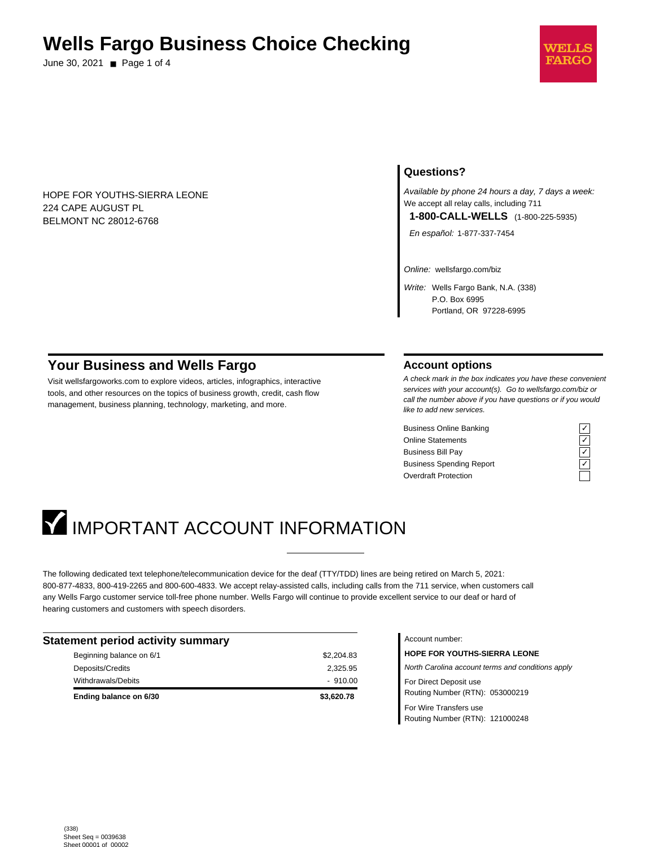## **Wells Fargo Business Choice Checking**

June 30, 2021 ■ Page 1 of 4



HOPE FOR YOUTHS-SIERRA LEONE 224 CAPE AUGUST PL BELMONT NC 28012-6768

## **Questions?**

Available by phone 24 hours a day, 7 days a week: We accept all relay calls, including 711 **1-800-CALL-WELLS** (1-800-225-5935)

En español: 1-877-337-7454

Online: wellsfargo.com/biz

Write: Wells Fargo Bank, N.A. (338) P.O. Box 6995 Portland, OR 97228-6995

## **Your Business and Wells Fargo**

Visit wellsfargoworks.com to explore videos, articles, infographics, interactive tools, and other resources on the topics of business growth, credit, cash flow management, business planning, technology, marketing, and more.

#### **Account options**

A check mark in the box indicates you have these convenient services with your account(s). Go to wellsfargo.com/biz or call the number above if you have questions or if you would like to add new services.

Business Online Banking Online Statements Business Bill Pay Business Spending Report Overdraft Protection

| - |  |
|---|--|
|   |  |
|   |  |

# **IMPORTANT ACCOUNT INFORMATION**

The following dedicated text telephone/telecommunication device for the deaf (TTY/TDD) lines are being retired on March 5, 2021: 800-877-4833, 800-419-2265 and 800-600-4833. We accept relay-assisted calls, including calls from the 711 service, when customers call any Wells Fargo customer service toll-free phone number. Wells Fargo will continue to provide excellent service to our deaf or hard of hearing customers and customers with speech disorders.

| <b>Statement period activity summary</b> |            |  |
|------------------------------------------|------------|--|
| Beginning balance on 6/1                 | \$2,204.83 |  |
| Deposits/Credits                         | 2,325.95   |  |
| Withdrawals/Debits                       | $-910.00$  |  |
| Ending balance on 6/30                   | \$3,620.78 |  |

Account number:

**HOPE FOR YOUTHS-SIERRA LEONE** North Carolina account terms and conditions apply For Direct Deposit use Routing Number (RTN): 053000219 For Wire Transfers use Routing Number (RTN): 121000248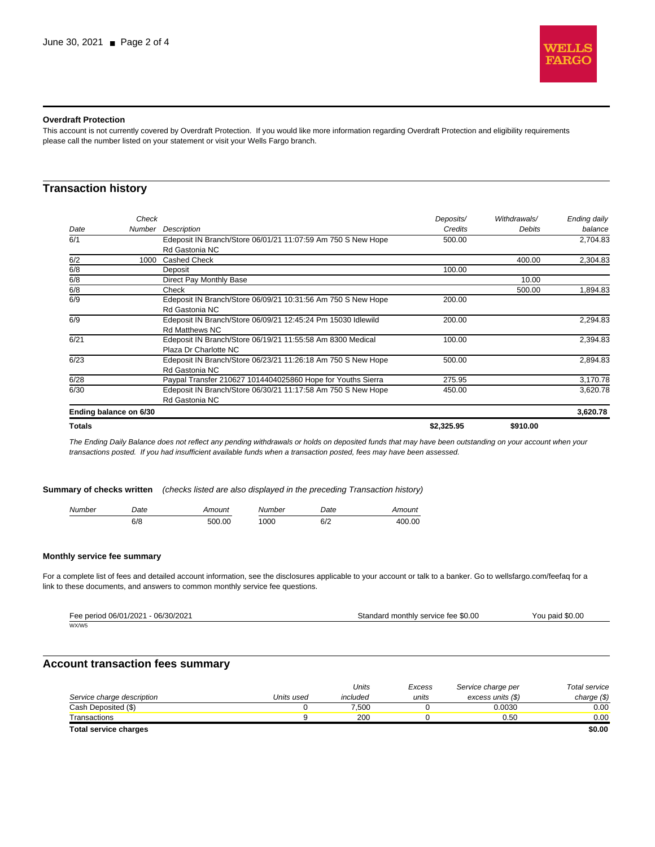

#### **Overdraft Protection**

This account is not currently covered by Overdraft Protection. If you would like more information regarding Overdraft Protection and eligibility requirements please call the number listed on your statement or visit your Wells Fargo branch.

## **Transaction history**

|               | Check                  |                                                              | Deposits/  | Withdrawals/ | Ending daily |
|---------------|------------------------|--------------------------------------------------------------|------------|--------------|--------------|
| Date          | Number                 | <b>Description</b>                                           | Credits    | Debits       | balance      |
| 6/1           |                        | Edeposit IN Branch/Store 06/01/21 11:07:59 Am 750 S New Hope | 500.00     |              | 2,704.83     |
|               |                        | Rd Gastonia NC                                               |            |              |              |
| 6/2           | 1000                   | <b>Cashed Check</b>                                          |            | 400.00       | 2,304.83     |
| 6/8           |                        | Deposit                                                      | 100.00     |              |              |
| 6/8           |                        | Direct Pay Monthly Base                                      |            | 10.00        |              |
| 6/8           |                        | Check                                                        |            | 500.00       | 1,894.83     |
| 6/9           |                        | Edeposit IN Branch/Store 06/09/21 10:31:56 Am 750 S New Hope | 200.00     |              |              |
|               |                        | Rd Gastonia NC                                               |            |              |              |
| 6/9           |                        | Edeposit IN Branch/Store 06/09/21 12:45:24 Pm 15030 Idlewild | 200.00     |              | 2,294.83     |
|               |                        | <b>Rd Matthews NC</b>                                        |            |              |              |
| 6/21          |                        | Edeposit IN Branch/Store 06/19/21 11:55:58 Am 8300 Medical   | 100.00     |              | 2,394.83     |
|               |                        | Plaza Dr Charlotte NC                                        |            |              |              |
| 6/23          |                        | Edeposit IN Branch/Store 06/23/21 11:26:18 Am 750 S New Hope | 500.00     |              | 2,894.83     |
|               |                        | Rd Gastonia NC                                               |            |              |              |
| 6/28          |                        | Paypal Transfer 210627 1014404025860 Hope for Youths Sierra  | 275.95     |              | 3,170.78     |
| 6/30          |                        | Edeposit IN Branch/Store 06/30/21 11:17:58 Am 750 S New Hope | 450.00     |              | 3,620.78     |
|               |                        | Rd Gastonia NC                                               |            |              |              |
|               | Ending balance on 6/30 |                                                              |            |              | 3,620.78     |
| <b>Totals</b> |                        |                                                              | \$2,325.95 | \$910.00     |              |

The Ending Daily Balance does not reflect any pending withdrawals or holds on deposited funds that may have been outstanding on your account when your transactions posted. If you had insufficient available funds when a transaction posted, fees may have been assessed.

**Summary of checks written** (checks listed are also displayed in the preceding Transaction history)

| ımber<br>M. | Jate<br>. | mouni  | .nber | Jate<br>. | 'n ini |
|-------------|-----------|--------|-------|-----------|--------|
|             | 0/ O      | 500.00 |       | 6/2       | ∩∩     |

#### **Monthly service fee summary**

For a complete list of fees and detailed account information, see the disclosures applicable to your account or talk to a banker. Go to wellsfargo.com/feefaq for a link to these documents, and answers to common monthly service fee questions.

| Fee period 06/01/2021 - 06/30/2021 | Standard monthly service fee \$0.00 | You paid \$0.00 |
|------------------------------------|-------------------------------------|-----------------|
| WX/W5                              |                                     |                 |

## **Account transaction fees summary**

|                              |            | Units    | Excess | Service charge per | Total service |
|------------------------------|------------|----------|--------|--------------------|---------------|
| Service charge description   | Units used | included | units  | excess units (\$)  | charge $(\$)$ |
| Cash Deposited (\$)          |            | 7.500    |        | 0.0030             | 0.00          |
| Transactions                 |            | 200      |        | 0.50               | 0.00          |
| <b>Total service charges</b> |            |          |        |                    | \$0.00        |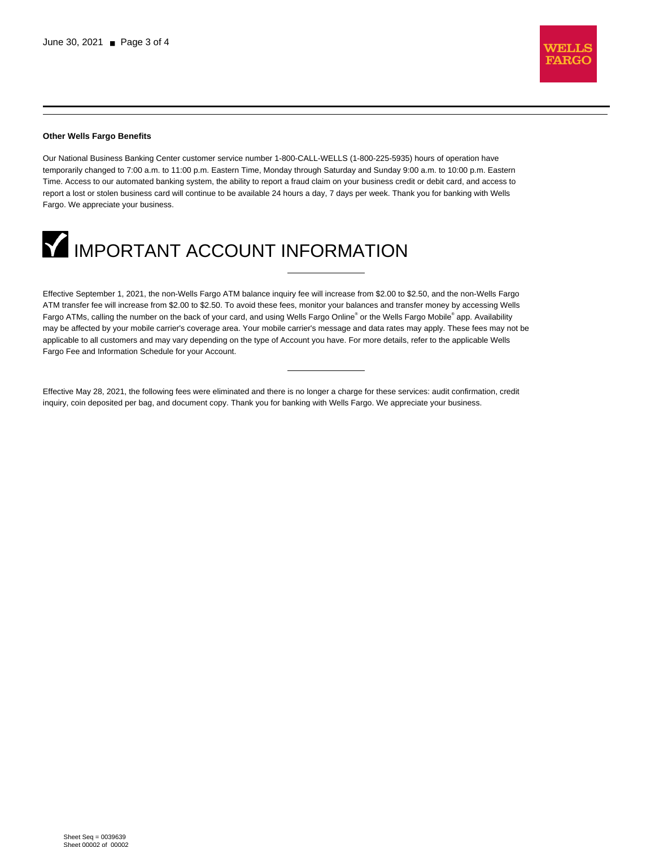

#### **Other Wells Fargo Benefits**

Our National Business Banking Center customer service number 1-800-CALL-WELLS (1-800-225-5935) hours of operation have temporarily changed to 7:00 a.m. to 11:00 p.m. Eastern Time, Monday through Saturday and Sunday 9:00 a.m. to 10:00 p.m. Eastern Time. Access to our automated banking system, the ability to report a fraud claim on your business credit or debit card, and access to report a lost or stolen business card will continue to be available 24 hours a day, 7 days per week. Thank you for banking with Wells Fargo. We appreciate your business.



Effective September 1, 2021, the non-Wells Fargo ATM balance inquiry fee will increase from \$2.00 to \$2.50, and the non-Wells Fargo ATM transfer fee will increase from \$2.00 to \$2.50. To avoid these fees, monitor your balances and transfer money by accessing Wells Fargo ATMs, calling the number on the back of your card, and using Wells Fargo Online® or the Wells Fargo Mobile® app. Availability may be affected by your mobile carrier's coverage area. Your mobile carrier's message and data rates may apply. These fees may not be applicable to all customers and may vary depending on the type of Account you have. For more details, refer to the applicable Wells Fargo Fee and Information Schedule for your Account.

Effective May 28, 2021, the following fees were eliminated and there is no longer a charge for these services: audit confirmation, credit inquiry, coin deposited per bag, and document copy. Thank you for banking with Wells Fargo. We appreciate your business.